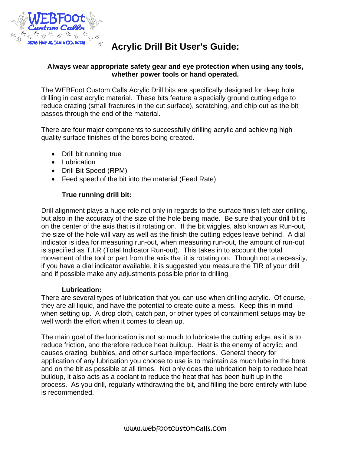

# **Acrylic Drill Bit User's Guide:**

#### **Always wear appropriate safety gear and eye protection when using any tools, whether power tools or hand operated.**

The WEBFoot Custom Calls Acrylic Drill bits are specifically designed for deep hole drilling in cast acrylic material. These bits feature a specially ground cutting edge to reduce crazing (small fractures in the cut surface), scratching, and chip out as the bit passes through the end of the material.

There are four major components to successfully drilling acrylic and achieving high quality surface finishes of the bores being created.

- Drill bit running true
- Lubrication
- Drill Bit Speed (RPM)
- Feed speed of the bit into the material (Feed Rate)

#### **True running drill bit:**

Drill alignment plays a huge role not only in regards to the surface finish left ater drilling, but also in the accuracy of the size of the hole being made. Be sure that your drill bit is on the center of the axis that is it rotating on. If the bit wiggles, also known as Run-out, the size of the hole will vary as well as the finish the cutting edges leave behind. A dial indicator is idea for measuring run-out, when measuring run-out, the amount of run-out is specified as T.I.R (Total Indicator Run-out). This takes in to account the total movement of the tool or part from the axis that it is rotating on. Though not a necessity, if you have a dial indicator available, it is suggested you measure the TIR of your drill and if possible make any adjustments possible prior to drilling.

#### **Lubrication:**

There are several types of lubrication that you can use when drilling acrylic. Of course, they are all liquid, and have the potential to create quite a mess. Keep this in mind when setting up. A drop cloth, catch pan, or other types of containment setups may be well worth the effort when it comes to clean up.

The main goal of the lubrication is not so much to lubricate the cutting edge, as it is to reduce friction, and therefore reduce heat buildup. Heat is the enemy of acrylic, and causes crazing, bubbles, and other surface imperfections. General theory for application of any lubrication you choose to use is to maintain as much lube in the bore and on the bit as possible at all times. Not only does the lubrication help to reduce heat buildup, it also acts as a coolant to reduce the heat that has been built up in the process. As you drill, regularly withdrawing the bit, and filling the bore entirely with lube is recommended.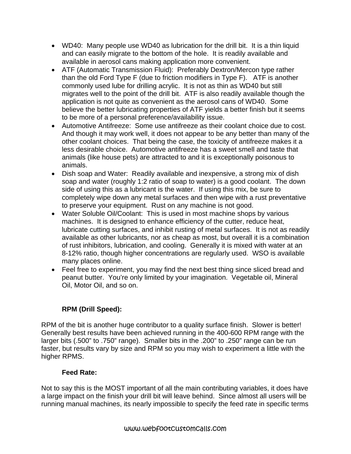- WD40: Many people use WD40 as lubrication for the drill bit. It is a thin liquid and can easily migrate to the bottom of the hole. It is readily available and available in aerosol cans making application more convenient.
- ATF (Automatic Transmission Fluid): Preferably Dextron/Mercon type rather than the old Ford Type F (due to friction modifiers in Type F). ATF is another commonly used lube for drilling acrylic. It is not as thin as WD40 but still migrates well to the point of the drill bit. ATF is also readily available though the application is not quite as convenient as the aerosol cans of WD40. Some believe the better lubricating properties of ATF yields a better finish but it seems to be more of a personal preference/availability issue.
- Automotive Antifreeze: Some use antifreeze as their coolant choice due to cost. And though it may work well, it does not appear to be any better than many of the other coolant choices. That being the case, the toxicity of antifreeze makes it a less desirable choice. Automotive antifreeze has a sweet smell and taste that animals (like house pets) are attracted to and it is exceptionally poisonous to animals.
- Dish soap and Water: Readily available and inexpensive, a strong mix of dish soap and water (roughly 1:2 ratio of soap to water) is a good coolant. The down side of using this as a lubricant is the water. If using this mix, be sure to completely wipe down any metal surfaces and then wipe with a rust preventative to preserve your equipment. Rust on any machine is not good.
- Water Soluble Oil/Coolant: This is used in most machine shops by various machines. It is designed to enhance efficiency of the cutter, reduce heat, lubricate cutting surfaces, and inhibit rusting of metal surfaces. It is not as readily available as other lubricants, nor as cheap as most, but overall it is a combination of rust inhibitors, lubrication, and cooling. Generally it is mixed with water at an 8-12% ratio, though higher concentrations are regularly used. WSO is available many places online.
- Feel free to experiment, you may find the next best thing since sliced bread and peanut butter. You're only limited by your imagination. Vegetable oil, Mineral Oil, Motor Oil, and so on.

## **RPM (Drill Speed):**

RPM of the bit is another huge contributor to a quality surface finish. Slower is better! Generally best results have been achieved running in the 400-600 RPM range with the larger bits (.500" to .750" range). Smaller bits in the .200" to .250" range can be run faster, but results vary by size and RPM so you may wish to experiment a little with the higher RPMS.

### **Feed Rate:**

Not to say this is the MOST important of all the main contributing variables, it does have a large impact on the finish your drill bit will leave behind. Since almost all users will be running manual machines, its nearly impossible to specify the feed rate in specific terms